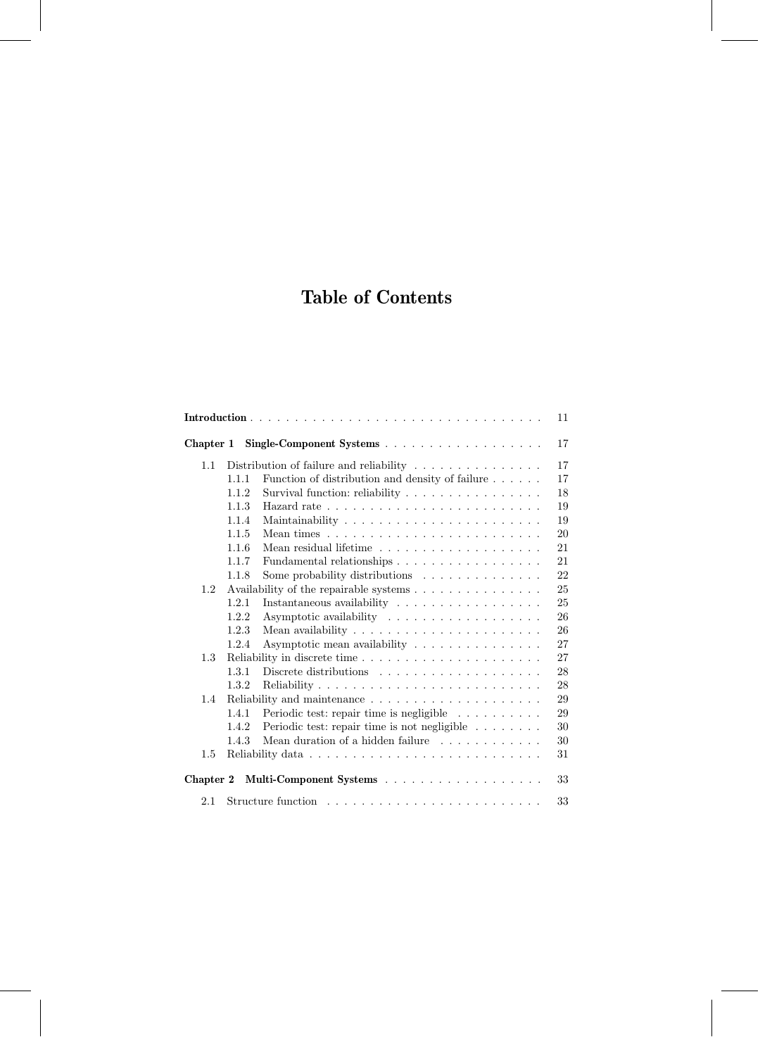## **Table of Contents**

|           |       |                                                                              | 11 |
|-----------|-------|------------------------------------------------------------------------------|----|
| Chapter 1 |       |                                                                              | 17 |
| 1.1       |       | Distribution of failure and reliability $\ldots \ldots \ldots \ldots \ldots$ | 17 |
|           | 1.1.1 | Function of distribution and density of failure                              | 17 |
|           | 1.1.2 | Survival function: reliability                                               | 18 |
|           | 1.1.3 |                                                                              | 19 |
|           | 1.1.4 |                                                                              | 19 |
|           | 1.1.5 |                                                                              | 20 |
|           | 1.1.6 |                                                                              | 21 |
|           | 1.1.7 | Fundamental relationships                                                    | 21 |
|           | 1.1.8 | Some probability distributions                                               | 22 |
| 1.2       |       |                                                                              | 25 |
|           | 1.2.1 | Instantaneous availability $\dots \dots \dots \dots \dots \dots$             | 25 |
|           | 1.2.2 |                                                                              | 26 |
|           | 1.2.3 |                                                                              | 26 |
|           | 1.2.4 | Asymptotic mean availability                                                 | 27 |
| 1.3       |       |                                                                              | 27 |
|           | 1.3.1 |                                                                              | 28 |
|           | 1.3.2 |                                                                              | 28 |
| 1.4       |       |                                                                              | 29 |
|           | 1.4.1 | Periodic test: repair time is negligible                                     | 29 |
|           | 1.4.2 | Periodic test: repair time is not negligible                                 | 30 |
|           | 1.4.3 | Mean duration of a hidden failure $\ldots \ldots \ldots \ldots$              | 30 |
| $1.5\,$   |       |                                                                              | 31 |
| Chapter 2 |       |                                                                              | 33 |
| 2.1       |       |                                                                              | 33 |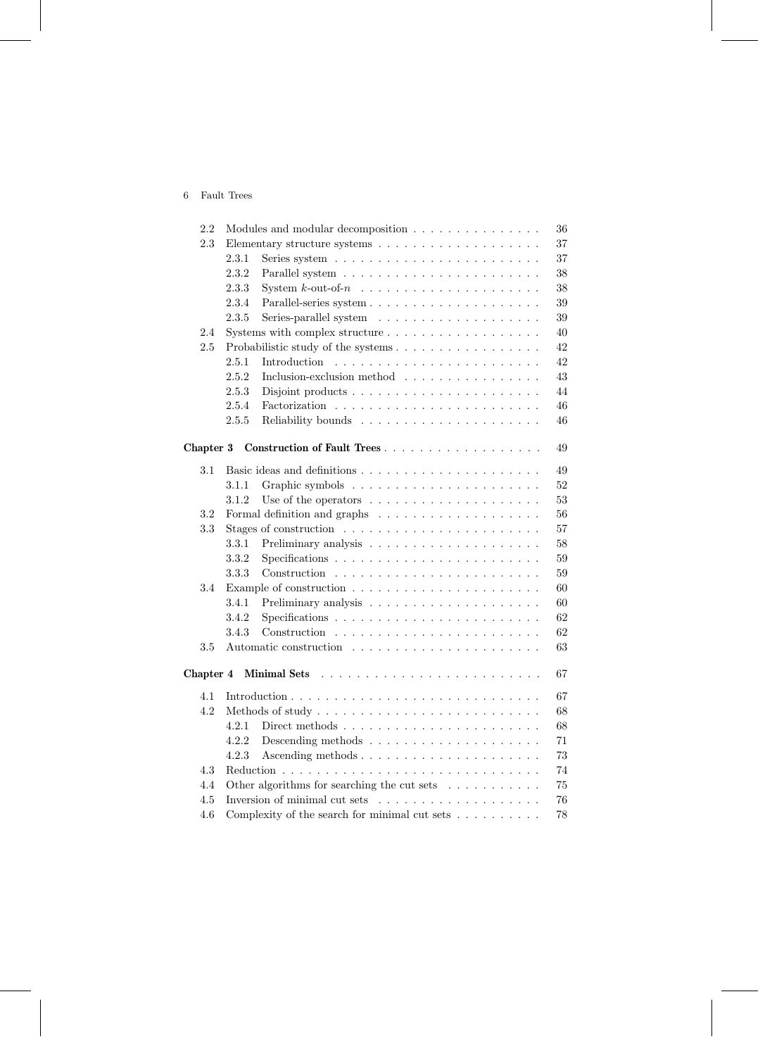## 6 Fault Trees

| 2.2       | Modules and modular decomposition<br>36                                         |    |  |  |  |  |
|-----------|---------------------------------------------------------------------------------|----|--|--|--|--|
| 2.3       | Elementary structure systems $\ldots \ldots \ldots \ldots \ldots \ldots \ldots$ | 37 |  |  |  |  |
|           | 2.3.1                                                                           | 37 |  |  |  |  |
|           | 2.3.2                                                                           | 38 |  |  |  |  |
|           | 2.3.3<br>System $k$ -out-of- $n \ldots \ldots \ldots \ldots \ldots \ldots$      | 38 |  |  |  |  |
|           | 2.3.4                                                                           | 39 |  |  |  |  |
|           | 2.3.5                                                                           | 39 |  |  |  |  |
| 2.4       |                                                                                 | 40 |  |  |  |  |
| 2.5       | Probabilistic study of the systems                                              | 42 |  |  |  |  |
|           | 2.5.1<br>Introduction                                                           | 42 |  |  |  |  |
|           | 2.5.2<br>Inclusion-exclusion method                                             | 43 |  |  |  |  |
|           | 2.5.3                                                                           | 44 |  |  |  |  |
|           | 2.5.4                                                                           | 46 |  |  |  |  |
|           | 2.5.5                                                                           | 46 |  |  |  |  |
|           |                                                                                 |    |  |  |  |  |
| Chapter 3 | Construction of Fault Trees                                                     | 49 |  |  |  |  |
| 3.1       |                                                                                 | 49 |  |  |  |  |
|           | 3.1.1                                                                           | 52 |  |  |  |  |
|           | 3.1.2<br>Use of the operators $\dots \dots \dots \dots \dots \dots \dots$       | 53 |  |  |  |  |
| 3.2       |                                                                                 | 56 |  |  |  |  |
| 3.3       | Stages of construction $\ldots \ldots \ldots \ldots \ldots \ldots \ldots$       | 57 |  |  |  |  |
|           | 3.3.1                                                                           | 58 |  |  |  |  |
|           | 3.3.2                                                                           | 59 |  |  |  |  |
|           | 3.3.3                                                                           | 59 |  |  |  |  |
| 3.4       |                                                                                 | 60 |  |  |  |  |
|           | 3.4.1                                                                           | 60 |  |  |  |  |
|           | 3.4.2                                                                           | 62 |  |  |  |  |
|           | 3.4.3                                                                           | 62 |  |  |  |  |
| 3.5       |                                                                                 | 63 |  |  |  |  |
|           |                                                                                 |    |  |  |  |  |
| Chapter 4 |                                                                                 | 67 |  |  |  |  |
| 4.1       |                                                                                 | 67 |  |  |  |  |
| 4.2       |                                                                                 | 68 |  |  |  |  |
|           | 4.2.1 Direct methods                                                            | 68 |  |  |  |  |
|           | 4.2.2                                                                           | 71 |  |  |  |  |
|           | 4.2.3                                                                           | 73 |  |  |  |  |
| 4.3       |                                                                                 | 74 |  |  |  |  |
| 4.4       | Other algorithms for searching the cut sets $\ldots \ldots \ldots$<br>$75\,$    |    |  |  |  |  |
| 4.5       | $76\,$                                                                          |    |  |  |  |  |
| 4.6       | Complexity of the search for minimal cut sets $\dots \dots \dots$<br>78         |    |  |  |  |  |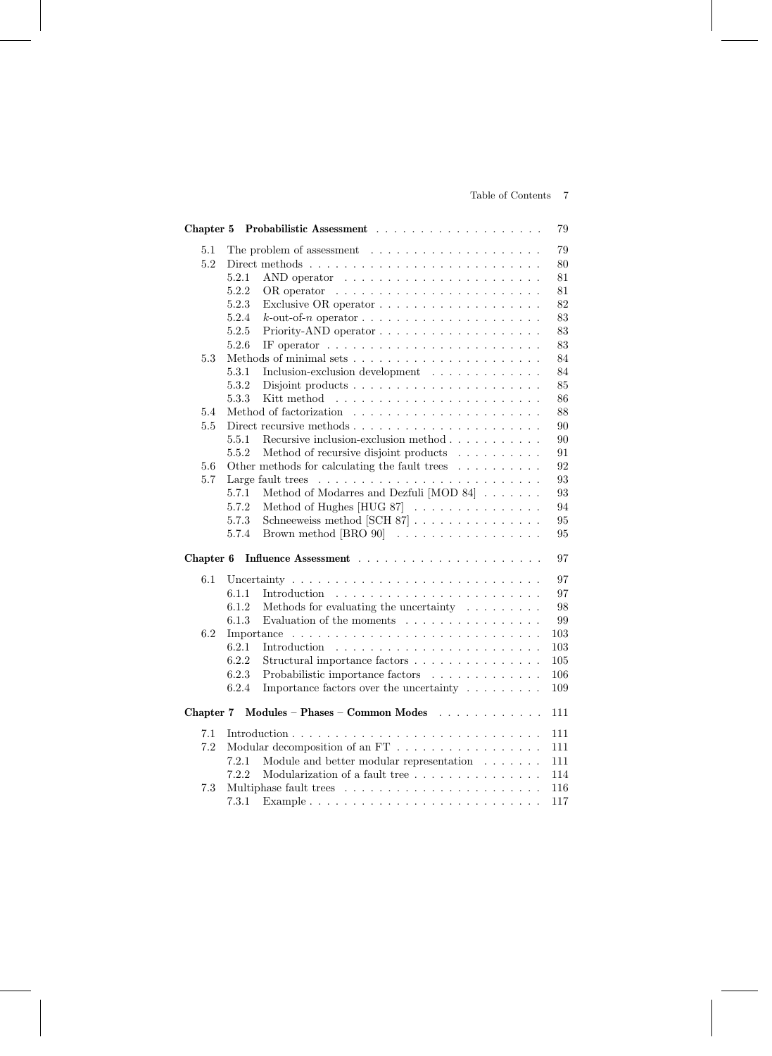## Table of Contents 7

|           |                                                                                       | 79  |
|-----------|---------------------------------------------------------------------------------------|-----|
| 5.1       |                                                                                       | 79  |
| 5.2       |                                                                                       | 80  |
|           | 5.2.1                                                                                 | 81  |
|           | 5.2.2<br>OR operator                                                                  | 81  |
|           | 5.2.3                                                                                 | 82  |
|           | 5.2.4                                                                                 | 83  |
|           | 5.2.5                                                                                 | 83  |
|           | 5.2.6<br>IF operator $\ldots \ldots \ldots \ldots \ldots \ldots \ldots \ldots \ldots$ | 83  |
| 5.3       |                                                                                       | 84  |
|           | 5.3.1<br>Inclusion-exclusion development                                              | 84  |
|           | 5.3.2                                                                                 | 85  |
|           | 5.3.3<br>Kitt method                                                                  | 86  |
| 5.4       |                                                                                       | 88  |
| 5.5       |                                                                                       | 90  |
|           | 5.5.1<br>Recursive inclusion-exclusion method $\ldots \ldots \ldots$                  | 90  |
|           | 5.5.2<br>Method of recursive disjoint products                                        | 91  |
| 5.6       | Other methods for calculating the fault trees $\ldots \ldots \ldots$                  | 92  |
| 5.7       |                                                                                       | 93  |
|           | Method of Modarres and Dezfuli $[MOD 84] \ldots \ldots$<br>5.7.1                      | 93  |
|           | 5.7.2<br>Method of Hughes $[HUG 87]$                                                  | 94  |
|           | 5.7.3<br>Schneeweiss method [SCH $87$ ]                                               | 95  |
|           | 5.7.4<br>Brown method $[BRO 90]$                                                      | 95  |
| Chapter 6 |                                                                                       | 97  |
| 6.1       |                                                                                       | 97  |
|           | 6.1.1                                                                                 | 97  |
|           | 6.1.2<br>Methods for evaluating the uncertainty $\ldots \ldots \ldots$                | 98  |
|           | 6.1.3<br>Evaluation of the moments $\dots \dots \dots \dots \dots$                    | 99  |
| 6.2       | Importance                                                                            | 103 |
|           | 6.2.1<br>Introduction                                                                 | 103 |
|           | 6.2.2<br>Structural importance factors $\dots \dots \dots \dots \dots$                | 105 |
|           | 6.2.3<br>Probabilistic importance factors                                             | 106 |
|           | 6.2.4<br>Importance factors over the uncertainty $\ldots \ldots \ldots$               | 109 |
| Chapter 7 | Modules - Phases - Common Modes                                                       | 111 |
| 7.1       |                                                                                       | 111 |
| 7.2       | Modular decomposition of an FT $\dots \dots \dots \dots \dots \dots$                  | 111 |
|           | Module and better modular representation $\hfill\ldots\ldots\ldots$<br>7.2.1          | 111 |
|           | 7.2.2<br>Modularization of a fault tree                                               | 114 |
| 7.3       |                                                                                       | 116 |
|           | 7.3.1                                                                                 | 117 |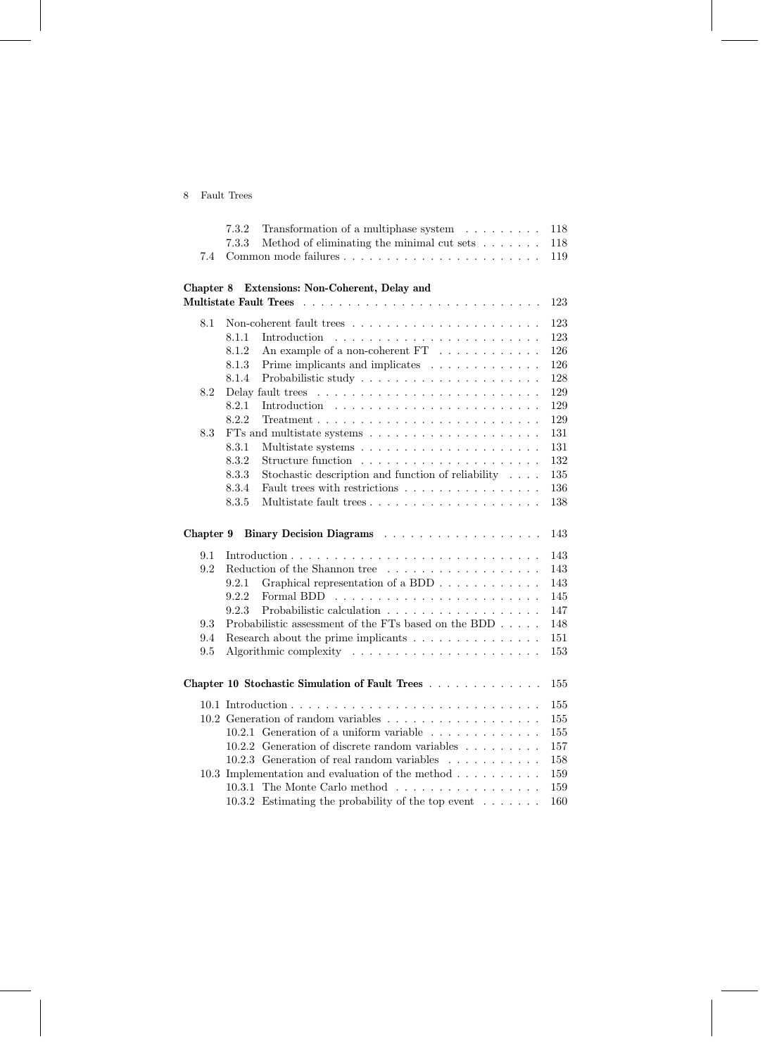## 8 Fault Trees

|           | 7.3.2<br>Transformation of a multiphase system $\ldots \ldots \ldots$                                                              | 118        |
|-----------|------------------------------------------------------------------------------------------------------------------------------------|------------|
|           | 7.3.3<br>Method of eliminating the minimal cut sets $\ldots \ldots$                                                                | 118        |
| 7.4       |                                                                                                                                    | 119        |
|           |                                                                                                                                    |            |
| Chapter 8 | Extensions: Non-Coherent, Delay and                                                                                                |            |
|           |                                                                                                                                    | 123        |
| 8.1       |                                                                                                                                    | 123        |
|           | 8.1.1<br>Introduction                                                                                                              | 123        |
|           | An example of a non-coherent FT $\ldots \ldots \ldots \ldots$<br>8.1.2                                                             | 126        |
|           | 8.1.3<br>Prime implicants and implicates                                                                                           | 126        |
|           | 8.1.4                                                                                                                              | 128        |
| 8.2       | Delay fault trees                                                                                                                  | 129        |
|           | 8.2.1<br>Introduction                                                                                                              | 129        |
|           | 8.2.2<br>$Treatment \n\t\ldots \n\t\ldots \n\t\ldots \n\t\ldots \n\t\ldots \n\t\ldots \n\t\ldots \n\t\ldots \n\t\ldots \n\t\ldots$ | 129        |
| 8.3       | FTs and multistate systems $\ldots \ldots \ldots \ldots \ldots \ldots \ldots$                                                      | 131        |
|           | 8.3.1<br>8.3.2                                                                                                                     | 131<br>132 |
|           | 8.3.3<br>Stochastic description and function of reliability $\ldots$ .                                                             | 135        |
|           | Fault trees with restrictions<br>8.3.4                                                                                             | 136        |
|           | 8.3.5                                                                                                                              | 138        |
|           |                                                                                                                                    |            |
| Chapter 9 |                                                                                                                                    | 143        |
| 9.1       |                                                                                                                                    | 143        |
| 9.2       | Reduction of the Shannon tree $\ldots \ldots \ldots \ldots \ldots \ldots$                                                          | 143        |
|           | Graphical representation of a BDD<br>9.2.1                                                                                         | 143        |
|           | 9.2.2<br>Formal BDD                                                                                                                | 145        |
|           | 9.2.3<br>Probabilistic calculation                                                                                                 | 147        |
| 9.3       | Probabilistic assessment of the FTs based on the BDD                                                                               | 148        |
| 9.4       | Research about the prime implicants                                                                                                | 151        |
| 9.5       |                                                                                                                                    | 153        |
|           |                                                                                                                                    |            |
|           | Chapter 10 Stochastic Simulation of Fault Trees                                                                                    | 155        |
|           |                                                                                                                                    | 155        |
|           |                                                                                                                                    | 155        |
|           | 10.2.1 Generation of a uniform variable                                                                                            | 155        |
|           | $10.2.2$ Generation of discrete random variables                                                                                   | 157        |
|           | 10.2.3 Generation of real random variables<br>$\mathbf{r}$                                                                         | 158        |
|           | 10.3 Implementation and evaluation of the method $\dots \dots \dots$                                                               | 159        |
|           | 10.3.1 The Monte Carlo method                                                                                                      | 159        |
|           | 10.3.2 Estimating the probability of the top event $\ldots \ldots$                                                                 | 160        |